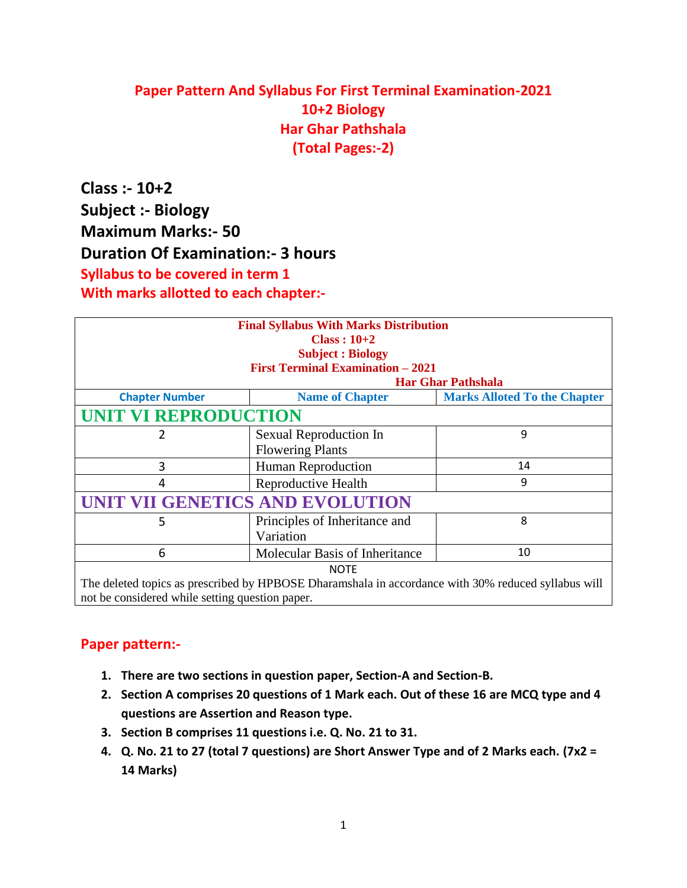## **Paper Pattern And Syllabus For First Terminal Examination-2021 10+2 Biology Har Ghar Pathshala (Total Pages:-2)**

**Class :- 10+2 Subject :- Biology Maximum Marks:- 50 Duration Of Examination:- 3 hours Syllabus to be covered in term 1 With marks allotted to each chapter:-**

| <b>Final Syllabus With Marks Distribution</b><br>$Class: 10+2$                                      |                                |                                     |  |  |
|-----------------------------------------------------------------------------------------------------|--------------------------------|-------------------------------------|--|--|
| <b>Subject: Biology</b>                                                                             |                                |                                     |  |  |
| <b>First Terminal Examination - 2021</b>                                                            |                                |                                     |  |  |
| <b>Har Ghar Pathshala</b>                                                                           |                                |                                     |  |  |
| <b>Chapter Number</b>                                                                               | <b>Name of Chapter</b>         | <b>Marks Alloted To the Chapter</b> |  |  |
| <b>UNIT VI REPRODUCTION</b>                                                                         |                                |                                     |  |  |
| 2                                                                                                   | Sexual Reproduction In         | 9                                   |  |  |
|                                                                                                     | <b>Flowering Plants</b>        |                                     |  |  |
| 3                                                                                                   | <b>Human Reproduction</b>      | 14                                  |  |  |
| 4                                                                                                   | Reproductive Health            | 9                                   |  |  |
| UNIT VII GENETICS AND EVOLUTION                                                                     |                                |                                     |  |  |
| 5                                                                                                   | Principles of Inheritance and  | 8                                   |  |  |
|                                                                                                     | Variation                      |                                     |  |  |
| 6                                                                                                   | Molecular Basis of Inheritance | 10                                  |  |  |
| <b>NOTE</b>                                                                                         |                                |                                     |  |  |
| The deleted topics as prescribed by HPBOSE Dharamshala in accordance with 30% reduced syllabus will |                                |                                     |  |  |

not be considered while setting question paper.

## **Paper pattern:-**

- **1. There are two sections in question paper, Section-A and Section-B.**
- **2. Section A comprises 20 questions of 1 Mark each. Out of these 16 are MCQ type and 4 questions are Assertion and Reason type.**
- **3. Section B comprises 11 questions i.e. Q. No. 21 to 31.**
- **4. Q. No. 21 to 27 (total 7 questions) are Short Answer Type and of 2 Marks each. (7x2 = 14 Marks)**